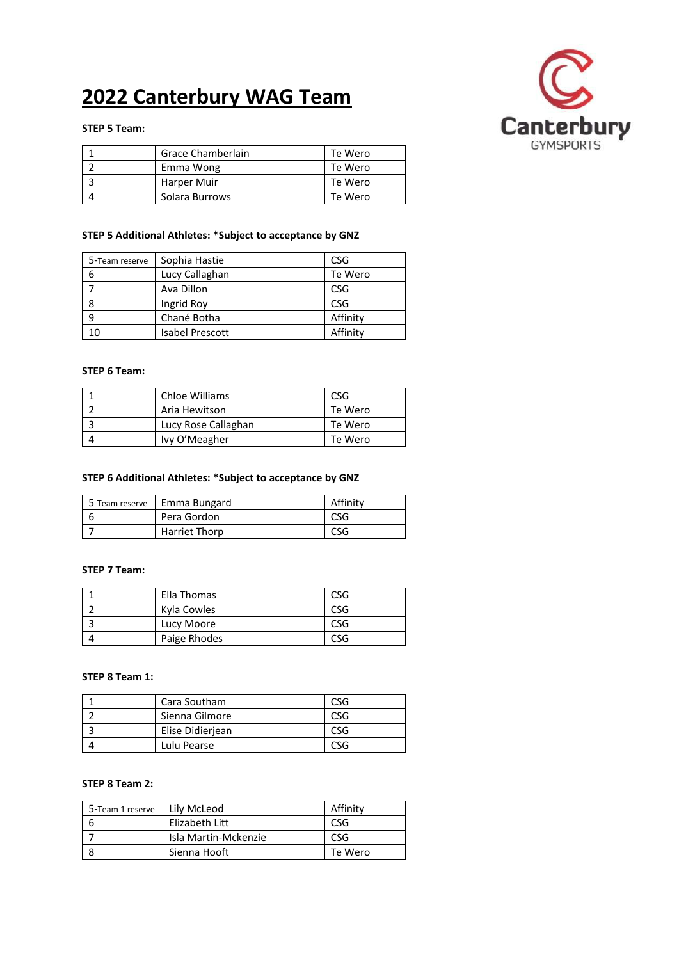

# **Canterbury WAG Team**

#### **STEP 5 Team:**

| Grace Chamberlain | Te Wero |
|-------------------|---------|
| Emma Wong         | Te Wero |
| Harper Muir       | Te Wero |
| Solara Burrows    | Te Wero |

## **STEP 5 Additional Athletes: \*Subject to acceptance by GNZ**

| 5-Team reserve | Sophia Hastie          | <b>CSG</b> |
|----------------|------------------------|------------|
| 6              | Lucy Callaghan         | Te Wero    |
|                | Ava Dillon             | <b>CSG</b> |
| 8              | Ingrid Roy             | <b>CSG</b> |
| q              | Chané Botha            | Affinity   |
|                | <b>Isabel Prescott</b> | Affinity   |

#### **STEP 6 Team:**

| Chloe Williams      | CSG     |
|---------------------|---------|
| Aria Hewitson       | Te Wero |
| Lucy Rose Callaghan | Te Wero |
| Ivy O'Meagher       | Te Wero |

## **STEP 6 Additional Athletes: \*Subject to acceptance by GNZ**

| 5-Team reserve   Emma Bungard | Affinity   |
|-------------------------------|------------|
| Pera Gordon                   | <b>CSG</b> |
| <b>Harriet Thorp</b>          | CSG        |

#### **STEP 7 Team:**

| Ella Thomas  | CSG        |
|--------------|------------|
| Kyla Cowles  | <b>CSG</b> |
| Lucy Moore   | CSG        |
| Paige Rhodes | ርናና        |

#### **STEP 8 Team 1:**

| Cara Southam     | CSG |
|------------------|-----|
| Sienna Gilmore   | CSG |
| Elise Didierjean | CSG |
| Lulu Pearse      |     |

## **STEP 8 Team 2:**

| 5-Team 1 reserve | Lily McLeod          | Affinity |
|------------------|----------------------|----------|
| b                | Elizabeth Litt       | CSG      |
|                  | Isla Martin-Mckenzie | CSG      |
|                  | Sienna Hooft         | Te Wero  |